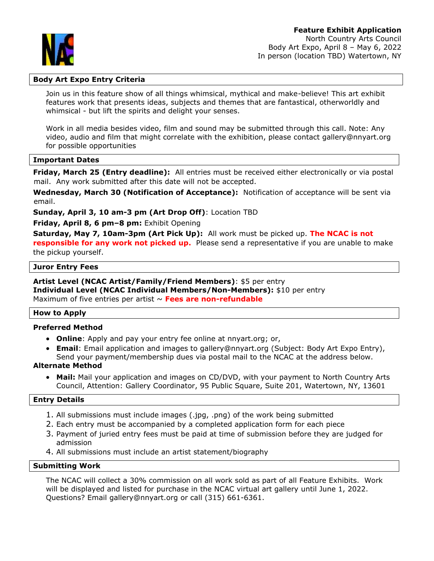North Country Arts Council Body Art Expo, April 8 – May 6, 2022 In person (location TBD) Watertown, NY

## **Body Art Expo Entry Criteria**

Join us in this feature show of all things whimsical, mythical and make-believe! This art exhibit features work that presents ideas, subjects and themes that are fantastical, otherworldly and whimsical - but lift the spirits and delight your senses.

Work in all media besides video, film and sound may be submitted through this call. Note: Any video, audio and film that might correlate with the exhibition, please contact gallery@nnyart.org for possible opportunities

## **Important Dates**

**Friday, March 25 (Entry deadline):** All entries must be received either electronically or via postal mail. Any work submitted after this date will not be accepted.

**Wednesday, March 30 (Notification of Acceptance):** Notification of acceptance will be sent via email.

**Sunday, April 3, 10 am-3 pm (Art Drop Off)**: Location TBD

**Friday, April 8, 6 pm–8 pm:** Exhibit Opening

**Saturday, May 7, 10am-3pm (Art Pick Up):** All work must be picked up. **The NCAC is not responsible for any work not picked up.** Please send a representative if you are unable to make the pickup yourself.

#### **Juror Entry Fees**

**Artist Level (NCAC Artist/Family/Friend Members)**: \$5 per entry **Individual Level (NCAC Individual Members/Non-Members):** \$10 per entry Maximum of five entries per artist ~ Fees are non-refundable

#### **How to Apply**

#### **Preferred Method**

- **Online**: Apply and pay your entry fee online at nnyart.org; or,
- **Email**: Email application and images to gallery@nnyart.org (Subject: Body Art Expo Entry), Send your payment/membership dues via postal mail to the NCAC at the address below.

## **Alternate Method**

• **Mail:** Mail your application and images on CD/DVD, with your payment to North Country Arts Council, Attention: Gallery Coordinator, 95 Public Square, Suite 201, Watertown, NY, 13601

#### **Entry Details**

- 1. All submissions must include images (.jpg, .png) of the work being submitted
- 2. Each entry must be accompanied by a completed application form for each piece
- 3. Payment of juried entry fees must be paid at time of submission before they are judged for admission
- 4. All submissions must include an artist statement/biography

#### **Submitting Work**

The NCAC will collect a 30% commission on all work sold as part of all Feature Exhibits. Work will be displayed and listed for purchase in the NCAC virtual art gallery until June 1, 2022. Questions? Email gallery@nnyart.org or call (315) 661-6361.